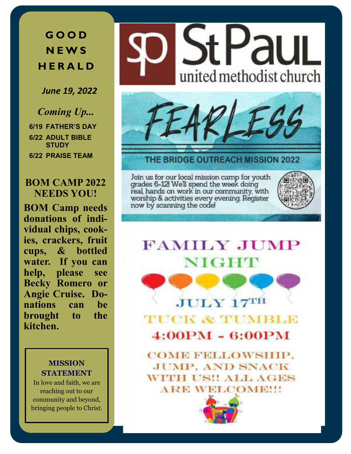**G O O D N E W S H E R A L D**

*June 19, 2022*

*Coming Up...* **6/19 FATHER'S DAY 6/22 ADULT BIBLE STUDY 6/22 PRAISE TEAM**

### **BOM CAMP 2022 NEEDS YOU!**

**BOM Camp needs donations of individual chips, cookies, crackers, fruit cups, & bottled water. If you can help, please see Becky Romero or Angie Cruise. Donations can be brought to the kitchen.**

### **MISSION STATEMENT**

In love and faith, we are reaching out to our community and beyond, bringing people to Christ.





THE BRIDGE OUTREACH MISSION 2022

Join us for our local mission camp for youth grades 6-12! We'll spend the week doing<br>real, hands on work in our community, with worship & activities every evening. Register now by scanning the code



# **FAMILY JUMP** NIGHT

**TUCK & TUMBLE**  $4:00PM - 6:00PM$ 

**JULY 17TH** 

**COME FELLOWSHIP. JUMP, AND SNACK WITH US!! ALL AGES ARE WELCOME!!!** 

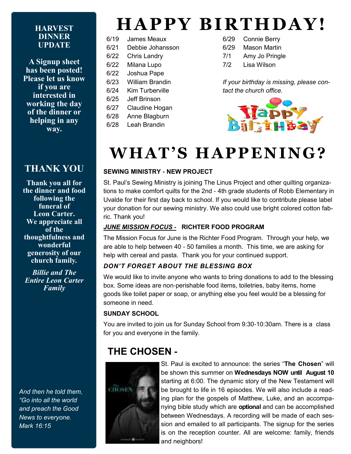#### **HARVEST DINNER UPDATE**

**A Signup sheet has been posted! Please let us know if you are interested in working the day of the dinner or helping in any way.** 

## **THANK YOU**

**Thank you all for the dinner and food following the funeral of Leon Carter. We appreciate all of the thoughtfulness and wonderful generosity of our church family***.*

*Billie and The Entire Leon Carter Family*

*And then he told them, "Go into all the world and preach the Good News to everyone. Mark 16:15*

# **HAPPY BIRTHDAY!**

- 6/19 James Meaux
- 6/21 Debbie Johansson
- 6/22 Chris Landry
- 6/22 Milana Lupo
- 6/22 Joshua Pape
- 6/23 William Brandin
- 6/24 Kim Turberville
- 6/25 Jeff Brinson
- 6/27 Claudine Hogan
- 6/28 Anne Blagburn
- 6/28 Leah Brandin
- 6/29 Connie Berry
- 6/29 Mason Martin
- 7/1 Amy Jo Pringle
- 7/2 Lisa Wilson

*If your birthday is missing, please contact the church office.*



# WHAT'S HAPPENING?

### **SEWING MINISTRY - NEW PROJECT**

St. Paul's Sewing Ministry is joining The Linus Project and other quilting organizations to make comfort quilts for the 2nd - 4th grade students of Robb Elementary in Uvalde for their first day back to school. If you would like to contribute please label your donation for our sewing ministry. We also could use bright colored cotton fabric. Thank you!

### *JUNE MISSION FOCUS* **-****RICHTER FOOD PROGRAM**

The Mission Focus for June is the Richter Food Program. Through your help, we are able to help between 40 - 50 families a month. This time, we are asking for help with cereal and pasta. Thank you for your continued support.

### *DON'T FORGET ABOUT THE BLESSING BOX*

We would like to invite anyone who wants to bring donations to add to the blessing box. Some ideas are non-perishable food items, toiletries, baby items, home goods like toilet paper or soap, or anything else you feel would be a blessing for someone in need.

### **SUNDAY SCHOOL**

You are invited to join us for Sunday School from 9:30-10:30am. There is a class for you and everyone in the family.

## **THE CHOSEN -**



St. Paul is excited to announce: the series "**The Chosen**" will be shown this summer on **Wednesdays NOW until August 10**  starting at 6:00. The dynamic story of the New Testament will be brought to life in 16 episodes. We will also include a reading plan for the gospels of Matthew, Luke, and an accompanying bible study which are **optional** and can be accomplished between Wednesdays. A recording will be made of each session and emailed to all participants. The signup for the series is on the reception counter. All are welcome: family, friends and neighbors!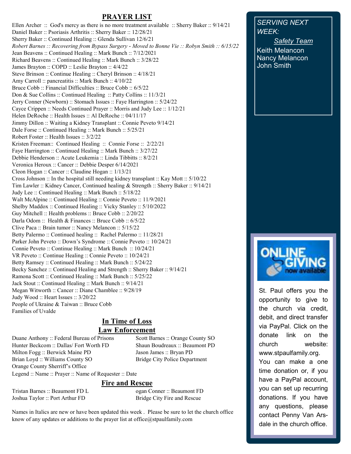### **PRAYER LIST**

Ellen Archer :: God's mercy as there is no more treatment available :: Sherry Baker :: 9/14/21 Daniel Baker :: Psoriasis Arthritis :: Sherry Baker :: 12/28/21 Sherry Baker :: Continued Healing :: Glenda Sullivan 12/6/21 *Robert Barnes :: Recovering from Bypass Surgery - Moved to Bonne Vie :: Robyn Smith :: 6/15/22* Jean Beavens :: Continued Healing :: Mark Bunch :: 7/12/2021 Richard Beavens :: Continued Healing :: Mark Bunch :: 3/28/22 James Brayton :: COPD :: Leslie Brayton :: 4/4/22 Steve Brinson :: Continue Healing :: Cheryl Brinson :: 4/18/21 Amy Carroll :: pancreatitis :: Mark Bunch :: 4/10/22 Bruce Cobb :: Financial Difficulties :: Bruce Cobb :: 6/5/22 Don & Sue Collins :: Continued Healing :: Patty Collins :: 11/3/21 Jerry Conner (Newborn) :: Stomach Issues :: Faye Harrington :: 5/24/22 Cayce Crippen :: Needs Continued Prayer :: Morris and Judy Lee :: 1/12/21 Helen DeRoche :: Health Issues :: Al DeRoche :: 04/11/17 Jimmy Dillon :: Waiting a Kidney Transplant :: Connie Peveto 9/14/21 Dale Forse :: Continued Healing :: Mark Bunch :: 5/25/21 Robert Foster :: Health Issues :: 3/2/22 Kristen Freeman:: Continued Healing :: Connie Forse :: 2/22/21 Faye Harrington :: Continued Healing :: Mark Bunch :: 3/27/22 Debbie Henderson :: Acute Leukemia :: Linda Tibbitts :: 8/2/21 Veronica Heroux :: Cancer :: Debbie Desper 6/14/2021 Cleon Hogan :: Cancer :: Claudine Hogan :: 1/13/21 Cross Johnson :: In the hospital still needing kidney transplant :: Kay Mott :: 5/10/22 Tim Lawler :: Kidney Cancer, Continued healing & Strength :: Sherry Baker :: 9/14/21 Judy Lee :: Continued Healing :: Mark Bunch :: 5/18/22 Walt McAlpine :: Continued Healing :: Connie Peveto :: 11/9/2021 Shelby Maddox :: Continued Healing :: Vicky Stanley :: 5/10/2022 Guy Mitchell :: Health problems :: Bruce Cobb :: 2/20/22 Darla Odom :: Health & Finances :: Bruce Cobb :: 6/5/22 Clive Paca :: Brain tumor :: Nancy Melancon :: 5/15/22 Betty Palermo :: Continued healing :: Rachel Palermo :: 11/28/21 Parker John Peveto :: Down's Syndrome :: Connie Peveto :: 10/24/21 Connie Peveto :: Continue Healing :: Mark Bunch :: 10/24/21 VR Peveto :: Continue Healing :: Connie Peveto :: 10/24/21 Betty Ramsey :: Continued Healing :: Mark Bunch :: 5/24/22 Becky Sanchez :: Continued Healing and Strength :: Sherry Baker :: 9/14/21 Ramona Scott :: Continued Healing :: Mark Bunch :: 5/25/22 Jack Stout :: Continued Healing :: Mark Bunch :: 9/14/21 Megan Witworth :: Cancer :: Diane Chamblee :: 9/28/19 Judy Wood :: Heart Issues :: 3/20/22 People of Ukraine & Taiwan :: Bruce Cobb Families of Uvalde

## **In Time of Loss**

**Law Enforcement** 

Duane Anthony :: Federal Bureau of Prisons Scott Barnes :: Orange County SO Hunter Beckcom :: Dallas/ Fort Worth FD Shaun Boudreaux :: Beaumont PD Milton Fogg :: Berwick Maine PD Jason James :: Bryan PD Brian Loyd :: Williams County SO Bridge City Police Department Orange County Sherriff's Office

Legend :: Name :: Prayer :: Name of Requester :: Date

#### **Fire and Rescue**

Tristan Barnes :: Beaumont FD L ogan Conner :: Beaumont FD Joshua Taylor :: Port Arthur FD Bridge City Fire and Rescue

Names in Italics are new or have been updated this week . Please be sure to let the church office know of any updates or additions to the prayer list at office@stpaulfamily.com

*SERVING NEXT WEEK:*

*Safety Team*  Keith Melancon Nancy Melancon John Smith



St. Paul offers you the opportunity to give to the church via credit, debit, and direct transfer via PayPal. Click on the donate link on the church website: www.stpaulfamily.org. You can make a one time donation or, if you have a PayPal account, you can set up recurring donations. If you have any questions, please contact Penny Van Arsdale in the church office.